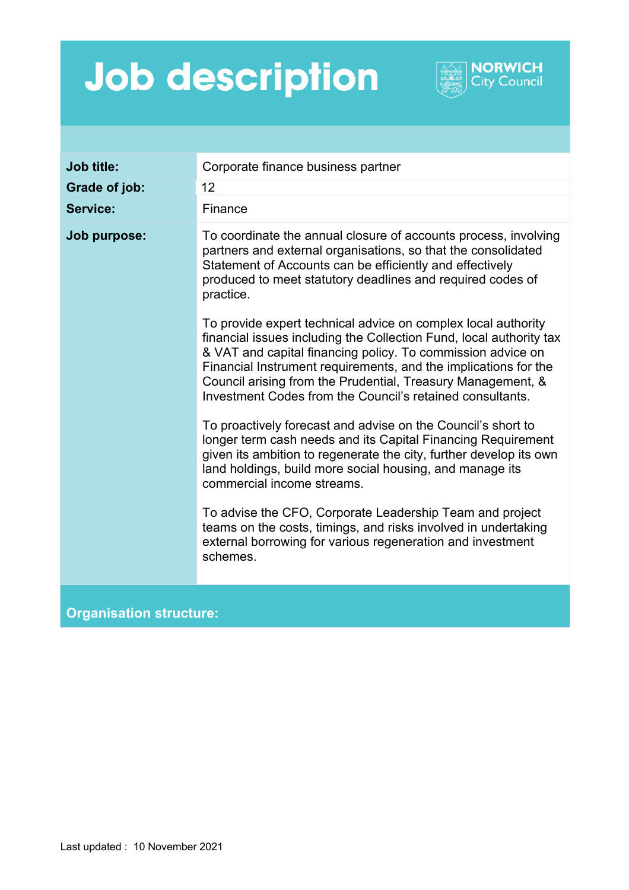## **Job description**



**NORWICH City Council**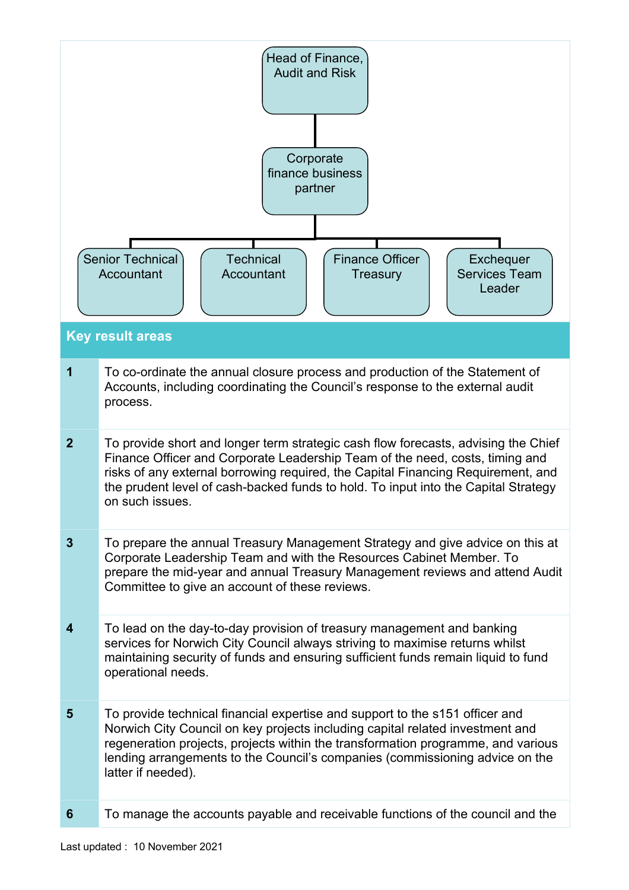